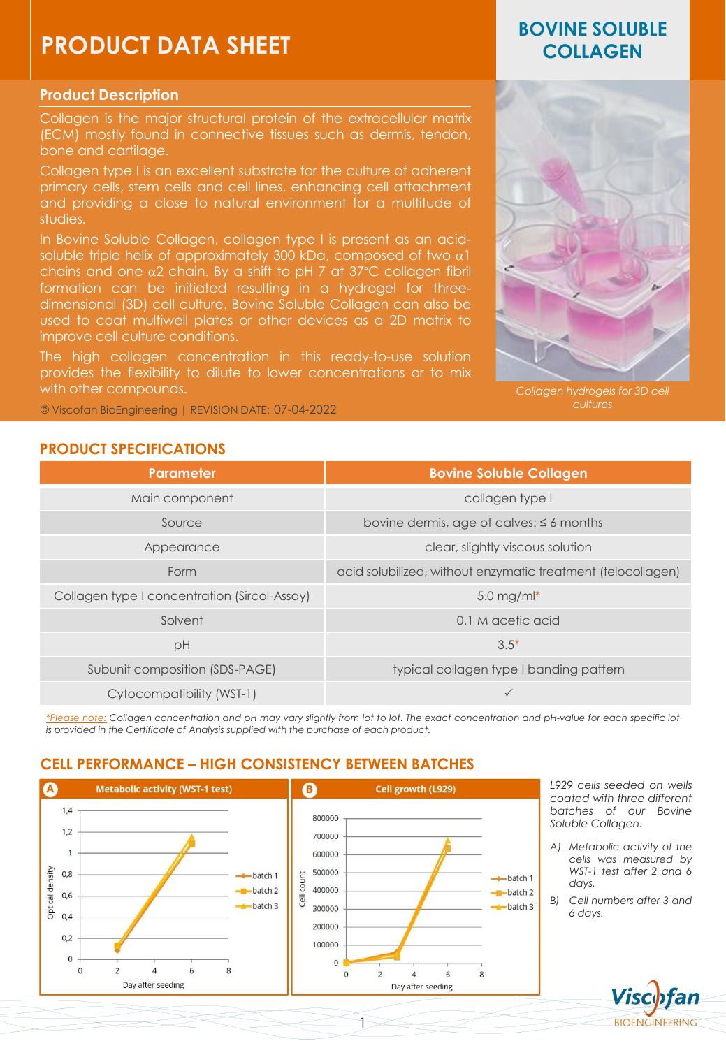# **PRODUCT DATA SHEET**

### **Product Description**

Collagen is the major structural protein of the extracellular matrix (ECM) mostly found in connective tissues such as dermis, tendon, bone and cartilage.

Collagen type I is an excellent substrate for the culture of adherent primary cells, stem cells and cell lines, enhancing cell attachment and providing a close to natural environment for a multitude of studies.

In Bovine Soluble Collagen, collagen type I is present as an acidsoluble triple helix of approximately 300 kDa, composed of two  $\alpha$ 1 chains and one  $\alpha$ 2 chain. By a shift to pH 7 at  $37^{\circ}$ C collagen fibril formation can be initiated resulting in a hydrogel for threedimensional (3D) cell culture. Bovine Soluble Collagen can also be used to coat multiwell plates or other devices as a 2D matrix to improve cell culture conditions.

The high collagen concentration in this ready-to-use solution provides the flexibility to dilute to lower concentrations or to mix with other compounds.

© Viscofan BioEngineering | REVISION DATE: *cultures* 07-04-2022

# **BOVINE SOLUBLE COLLAGEN**



*Collagen hydrogels for 3D cell* 

**BIOENGINEERING** 

### **PRODUCT SPECIFICATIONS**

| Parameter                                    | <b>Bovine Soluble Collagen</b>                               |
|----------------------------------------------|--------------------------------------------------------------|
| Main component                               | collagen type I                                              |
| Source                                       | bovine dermis, age of calves: $\leq 6$ months                |
| Appearance                                   | clear, slightly viscous solution                             |
| Form                                         | acid solubilized, without enzymatic treatment (telocollagen) |
| Collagen type I concentration (Sircol-Assay) | 5.0 mg/m $\vert^*$                                           |
| Solvent                                      | 0.1 M acetic acid                                            |
| pH                                           | $3.5*$                                                       |
| Subunit composition (SDS-PAGE)               | typical collagen type I banding pattern                      |
| Cytocompatibility (WST-1)                    |                                                              |

\*Please note: Collagen concentration and pH may vary slightly from lot to lot. The exact concentration and pH-value for each specific lot *is provided in the Certificate of Analysis supplied with the purchase of each product.*

# **CELL PERFORMANCE – HIGH CONSISTENCY BETWEEN BATCHES**



1